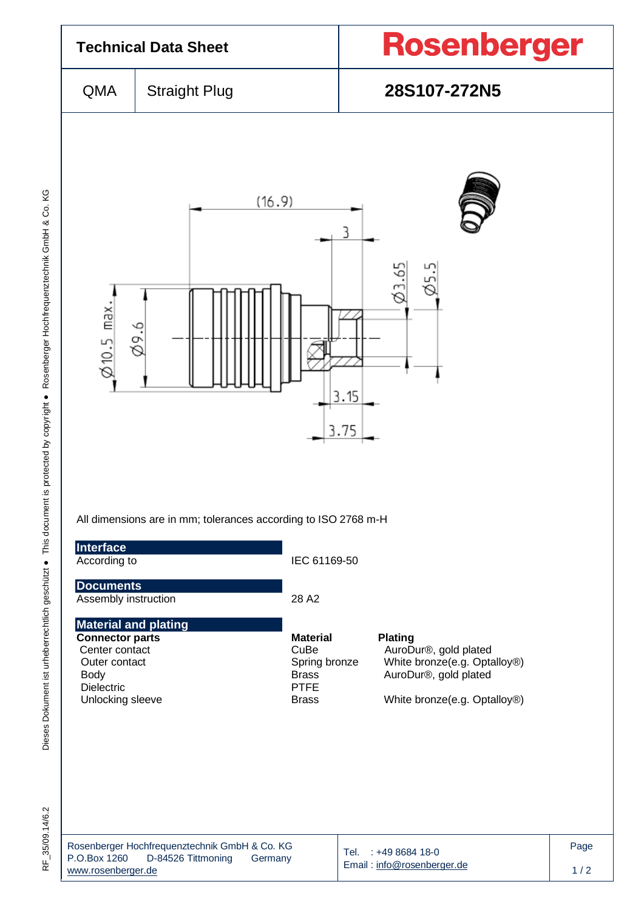

Dieses Dokument ist urheberrechtlich geschützt ● This document is protected by copyright ● Rosenberger Hochfrequenztechnik GmbH & Co. KG F\_35/09.14/6.2 Dieses Dokument ist urheberrechtlich geschützt ● This document is protected by copyright ● Rosenberger Hochfrequenztechnik GmbH & Co. KG

RF 35/09.14/6.2